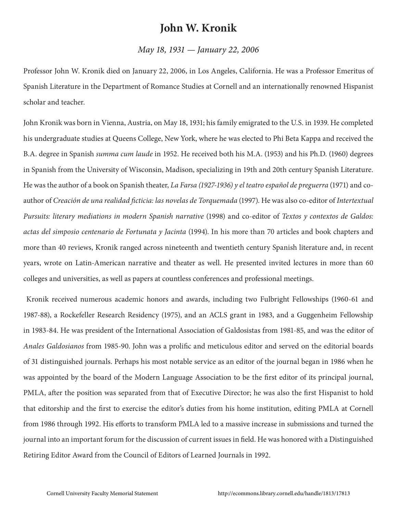## **John W. Kronik**

## *May 18, 1931 — January 22, 2006*

Professor John W. Kronik died on January 22, 2006, in Los Angeles, California. He was a Professor Emeritus of Spanish Literature in the Department of Romance Studies at Cornell and an internationally renowned Hispanist scholar and teacher.

John Kronik was born in Vienna, Austria, on May 18, 1931; his family emigrated to the U.S. in 1939. He completed his undergraduate studies at Queens College, New York, where he was elected to Phi Beta Kappa and received the B.A. degree in Spanish *summa cum laude* in 1952. He received both his M.A. (1953) and his Ph.D. (1960) degrees in Spanish from the University of Wisconsin, Madison, specializing in 19th and 20th century Spanish Literature. He was the author of a book on Spanish theater, *La Farsa (1927-1936) y el teatro español de preguerra* (1971) and coauthor of *Creación de una realidad ficticia: las novelas de Torquemada* (1997). He was also co-editor of *Intertextual Pursuits: literary mediations in modern Spanish narrative* (1998) and co-editor of *Textos y contextos de Galdos: actas del simposio centenario de Fortunata y Jacinta* (1994). In his more than 70 articles and book chapters and more than 40 reviews, Kronik ranged across nineteenth and twentieth century Spanish literature and, in recent years, wrote on Latin-American narrative and theater as well. He presented invited lectures in more than 60 colleges and universities, as well as papers at countless conferences and professional meetings.

 Kronik received numerous academic honors and awards, including two Fulbright Fellowships (1960-61 and 1987-88), a Rockefeller Research Residency (1975), and an ACLS grant in 1983, and a Guggenheim Fellowship in 1983-84. He was president of the International Association of Galdosistas from 1981-85, and was the editor of *Anales Galdosianos* from 1985-90. John was a prolific and meticulous editor and served on the editorial boards of 31 distinguished journals. Perhaps his most notable service as an editor of the journal began in 1986 when he was appointed by the board of the Modern Language Association to be the first editor of its principal journal, PMLA, after the position was separated from that of Executive Director; he was also the first Hispanist to hold that editorship and the first to exercise the editor's duties from his home institution, editing PMLA at Cornell from 1986 through 1992. His efforts to transform PMLA led to a massive increase in submissions and turned the journal into an important forum for the discussion of current issues in field. He was honored with a Distinguished Retiring Editor Award from the Council of Editors of Learned Journals in 1992.